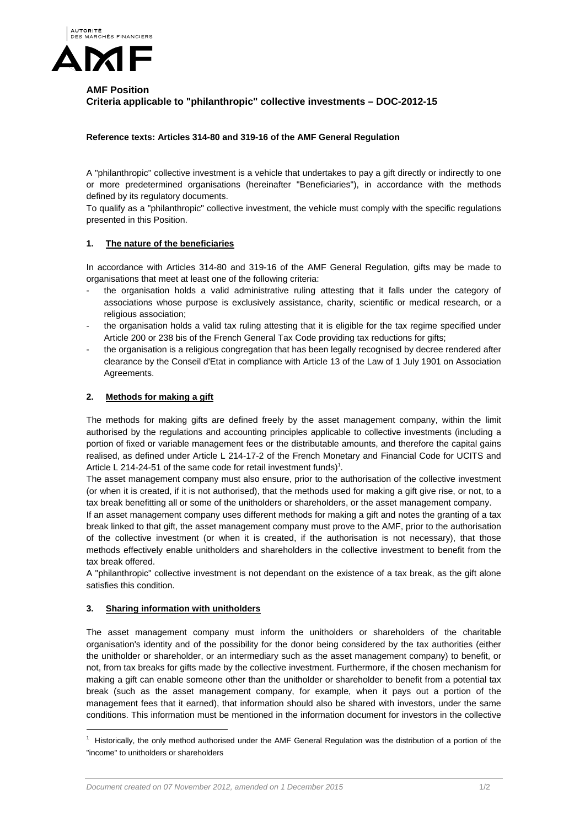

# **AMF Position Criteria applicable to "philanthropic" collective investments – DOC-2012-15**

### **Reference texts: Articles 314-80 and 319-16 of the AMF General Regulation**

A "philanthropic" collective investment is a vehicle that undertakes to pay a gift directly or indirectly to one or more predetermined organisations (hereinafter "Beneficiaries"), in accordance with the methods defined by its regulatory documents.

To qualify as a "philanthropic" collective investment, the vehicle must comply with the specific regulations presented in this Position.

#### **1. The nature of the beneficiaries**

In accordance with Articles 314-80 and 319-16 of the AMF General Regulation, gifts may be made to organisations that meet at least one of the following criteria:

- the organisation holds a valid administrative ruling attesting that it falls under the category of associations whose purpose is exclusively assistance, charity, scientific or medical research, or a religious association;
- the organisation holds a valid tax ruling attesting that it is eligible for the tax regime specified under Article 200 or 238 bis of the French General Tax Code providing tax reductions for gifts;
- the organisation is a religious congregation that has been legally recognised by decree rendered after clearance by the Conseil d'Etat in compliance with Article 13 of the Law of 1 July 1901 on Association Agreements.

## **2. Methods for making a gift**

The methods for making gifts are defined freely by the asset management company, within the limit authorised by the regulations and accounting principles applicable to collective investments (including a portion of fixed or variable management fees or the distributable amounts, and therefore the capital gains realised, as defined under Article L 214-17-2 of the French Monetary and Financial Code for UCITS and Article L 214-24-51 of the same code for retail investment funds)<sup>1</sup>.

The asset management company must also ensure, prior to the authorisation of the collective investment (or when it is created, if it is not authorised), that the methods used for making a gift give rise, or not, to a tax break benefitting all or some of the unitholders or shareholders, or the asset management company.

If an asset management company uses different methods for making a gift and notes the granting of a tax break linked to that gift, the asset management company must prove to the AMF, prior to the authorisation of the collective investment (or when it is created, if the authorisation is not necessary), that those methods effectively enable unitholders and shareholders in the collective investment to benefit from the tax break offered.

A "philanthropic" collective investment is not dependant on the existence of a tax break, as the gift alone satisfies this condition.

#### **3. Sharing information with unitholders**

l

The asset management company must inform the unitholders or shareholders of the charitable organisation's identity and of the possibility for the donor being considered by the tax authorities (either the unitholder or shareholder, or an intermediary such as the asset management company) to benefit, or not, from tax breaks for gifts made by the collective investment. Furthermore, if the chosen mechanism for making a gift can enable someone other than the unitholder or shareholder to benefit from a potential tax break (such as the asset management company, for example, when it pays out a portion of the management fees that it earned), that information should also be shared with investors, under the same conditions. This information must be mentioned in the information document for investors in the collective

 $1$  Historically, the only method authorised under the AMF General Regulation was the distribution of a portion of the "income" to unitholders or shareholders